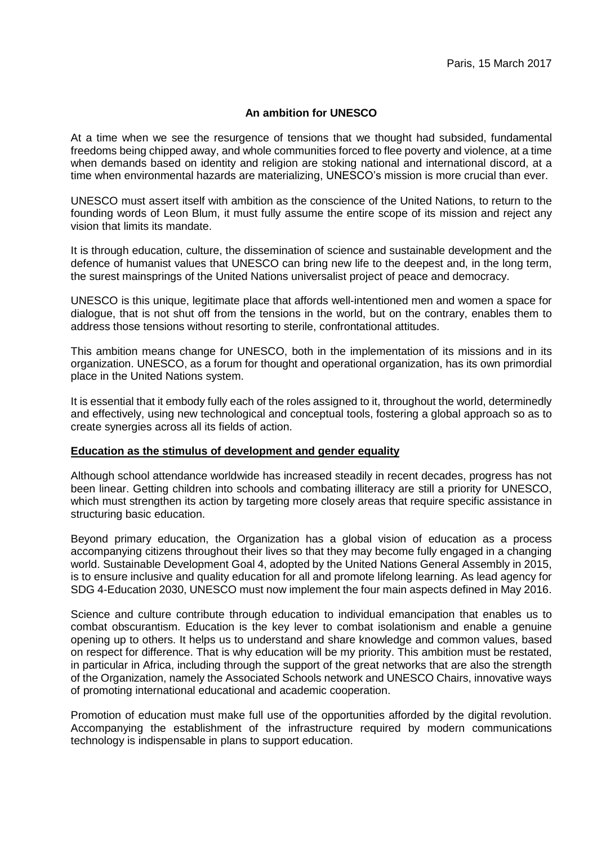# **An ambition for UNESCO**

At a time when we see the resurgence of tensions that we thought had subsided, fundamental freedoms being chipped away, and whole communities forced to flee poverty and violence, at a time when demands based on identity and religion are stoking national and international discord, at a time when environmental hazards are materializing, UNESCO's mission is more crucial than ever.

UNESCO must assert itself with ambition as the conscience of the United Nations, to return to the founding words of Leon Blum, it must fully assume the entire scope of its mission and reject any vision that limits its mandate.

It is through education, culture, the dissemination of science and sustainable development and the defence of humanist values that UNESCO can bring new life to the deepest and, in the long term, the surest mainsprings of the United Nations universalist project of peace and democracy.

UNESCO is this unique, legitimate place that affords well-intentioned men and women a space for dialogue, that is not shut off from the tensions in the world, but on the contrary, enables them to address those tensions without resorting to sterile, confrontational attitudes.

This ambition means change for UNESCO, both in the implementation of its missions and in its organization. UNESCO, as a forum for thought and operational organization, has its own primordial place in the United Nations system.

It is essential that it embody fully each of the roles assigned to it, throughout the world, determinedly and effectively, using new technological and conceptual tools, fostering a global approach so as to create synergies across all its fields of action.

### **Education as the stimulus of development and gender equality**

Although school attendance worldwide has increased steadily in recent decades, progress has not been linear. Getting children into schools and combating illiteracy are still a priority for UNESCO, which must strengthen its action by targeting more closely areas that require specific assistance in structuring basic education.

Beyond primary education, the Organization has a global vision of education as a process accompanying citizens throughout their lives so that they may become fully engaged in a changing world. Sustainable Development Goal 4, adopted by the United Nations General Assembly in 2015, is to ensure inclusive and quality education for all and promote lifelong learning. As lead agency for SDG 4-Education 2030, UNESCO must now implement the four main aspects defined in May 2016.

Science and culture contribute through education to individual emancipation that enables us to combat obscurantism. Education is the key lever to combat isolationism and enable a genuine opening up to others. It helps us to understand and share knowledge and common values, based on respect for difference. That is why education will be my priority. This ambition must be restated, in particular in Africa, including through the support of the great networks that are also the strength of the Organization, namely the Associated Schools network and UNESCO Chairs, innovative ways of promoting international educational and academic cooperation.

Promotion of education must make full use of the opportunities afforded by the digital revolution. Accompanying the establishment of the infrastructure required by modern communications technology is indispensable in plans to support education.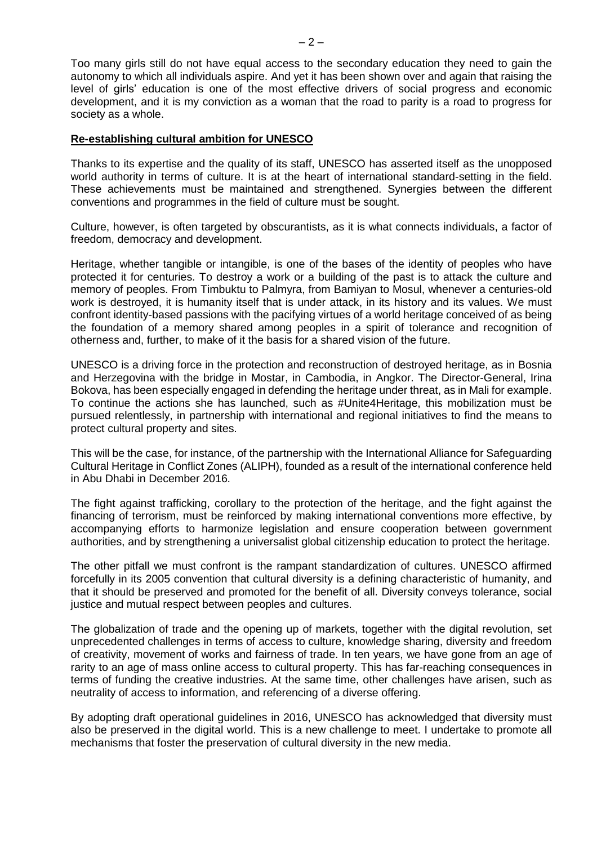Too many girls still do not have equal access to the secondary education they need to gain the autonomy to which all individuals aspire. And yet it has been shown over and again that raising the level of girls' education is one of the most effective drivers of social progress and economic development, and it is my conviction as a woman that the road to parity is a road to progress for society as a whole.

## **Re-establishing cultural ambition for UNESCO**

Thanks to its expertise and the quality of its staff, UNESCO has asserted itself as the unopposed world authority in terms of culture. It is at the heart of international standard-setting in the field. These achievements must be maintained and strengthened. Synergies between the different conventions and programmes in the field of culture must be sought.

Culture, however, is often targeted by obscurantists, as it is what connects individuals, a factor of freedom, democracy and development.

Heritage, whether tangible or intangible, is one of the bases of the identity of peoples who have protected it for centuries. To destroy a work or a building of the past is to attack the culture and memory of peoples. From Timbuktu to Palmyra, from Bamiyan to Mosul, whenever a centuries-old work is destroyed, it is humanity itself that is under attack, in its history and its values. We must confront identity-based passions with the pacifying virtues of a world heritage conceived of as being the foundation of a memory shared among peoples in a spirit of tolerance and recognition of otherness and, further, to make of it the basis for a shared vision of the future.

UNESCO is a driving force in the protection and reconstruction of destroyed heritage, as in Bosnia and Herzegovina with the bridge in Mostar, in Cambodia, in Angkor. The Director-General, Irina Bokova, has been especially engaged in defending the heritage under threat, as in Mali for example. To continue the actions she has launched, such as #Unite4Heritage, this mobilization must be pursued relentlessly, in partnership with international and regional initiatives to find the means to protect cultural property and sites.

This will be the case, for instance, of the partnership with the International Alliance for Safeguarding Cultural Heritage in Conflict Zones (ALIPH), founded as a result of the international conference held in Abu Dhabi in December 2016.

The fight against trafficking, corollary to the protection of the heritage, and the fight against the financing of terrorism, must be reinforced by making international conventions more effective, by accompanying efforts to harmonize legislation and ensure cooperation between government authorities, and by strengthening a universalist global citizenship education to protect the heritage.

The other pitfall we must confront is the rampant standardization of cultures. UNESCO affirmed forcefully in its 2005 convention that cultural diversity is a defining characteristic of humanity, and that it should be preserved and promoted for the benefit of all. Diversity conveys tolerance, social justice and mutual respect between peoples and cultures.

The globalization of trade and the opening up of markets, together with the digital revolution, set unprecedented challenges in terms of access to culture, knowledge sharing, diversity and freedom of creativity, movement of works and fairness of trade. In ten years, we have gone from an age of rarity to an age of mass online access to cultural property. This has far-reaching consequences in terms of funding the creative industries. At the same time, other challenges have arisen, such as neutrality of access to information, and referencing of a diverse offering.

By adopting draft operational guidelines in 2016, UNESCO has acknowledged that diversity must also be preserved in the digital world. This is a new challenge to meet. I undertake to promote all mechanisms that foster the preservation of cultural diversity in the new media.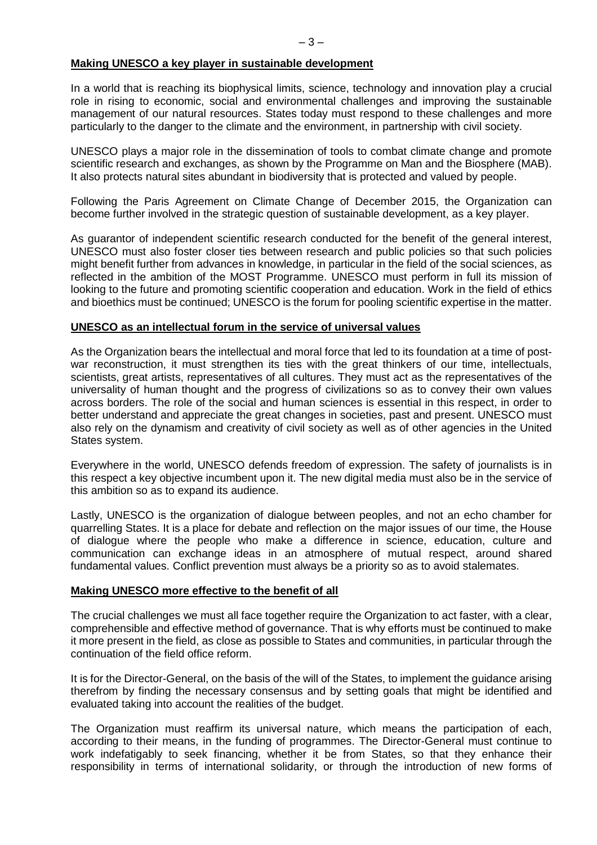## **Making UNESCO a key player in sustainable development**

In a world that is reaching its biophysical limits, science, technology and innovation play a crucial role in rising to economic, social and environmental challenges and improving the sustainable management of our natural resources. States today must respond to these challenges and more particularly to the danger to the climate and the environment, in partnership with civil society.

UNESCO plays a major role in the dissemination of tools to combat climate change and promote scientific research and exchanges, as shown by the Programme on Man and the Biosphere (MAB). It also protects natural sites abundant in biodiversity that is protected and valued by people.

Following the Paris Agreement on Climate Change of December 2015, the Organization can become further involved in the strategic question of sustainable development, as a key player.

As guarantor of independent scientific research conducted for the benefit of the general interest, UNESCO must also foster closer ties between research and public policies so that such policies might benefit further from advances in knowledge, in particular in the field of the social sciences, as reflected in the ambition of the MOST Programme. UNESCO must perform in full its mission of looking to the future and promoting scientific cooperation and education. Work in the field of ethics and bioethics must be continued; UNESCO is the forum for pooling scientific expertise in the matter.

### **UNESCO as an intellectual forum in the service of universal values**

As the Organization bears the intellectual and moral force that led to its foundation at a time of postwar reconstruction, it must strengthen its ties with the great thinkers of our time, intellectuals, scientists, great artists, representatives of all cultures. They must act as the representatives of the universality of human thought and the progress of civilizations so as to convey their own values across borders. The role of the social and human sciences is essential in this respect, in order to better understand and appreciate the great changes in societies, past and present. UNESCO must also rely on the dynamism and creativity of civil society as well as of other agencies in the United States system.

Everywhere in the world, UNESCO defends freedom of expression. The safety of journalists is in this respect a key objective incumbent upon it. The new digital media must also be in the service of this ambition so as to expand its audience.

Lastly, UNESCO is the organization of dialogue between peoples, and not an echo chamber for quarrelling States. It is a place for debate and reflection on the major issues of our time, the House of dialogue where the people who make a difference in science, education, culture and communication can exchange ideas in an atmosphere of mutual respect, around shared fundamental values. Conflict prevention must always be a priority so as to avoid stalemates.

### **Making UNESCO more effective to the benefit of all**

The crucial challenges we must all face together require the Organization to act faster, with a clear, comprehensible and effective method of governance. That is why efforts must be continued to make it more present in the field, as close as possible to States and communities, in particular through the continuation of the field office reform.

It is for the Director-General, on the basis of the will of the States, to implement the guidance arising therefrom by finding the necessary consensus and by setting goals that might be identified and evaluated taking into account the realities of the budget.

The Organization must reaffirm its universal nature, which means the participation of each, according to their means, in the funding of programmes. The Director-General must continue to work indefatigably to seek financing, whether it be from States, so that they enhance their responsibility in terms of international solidarity, or through the introduction of new forms of